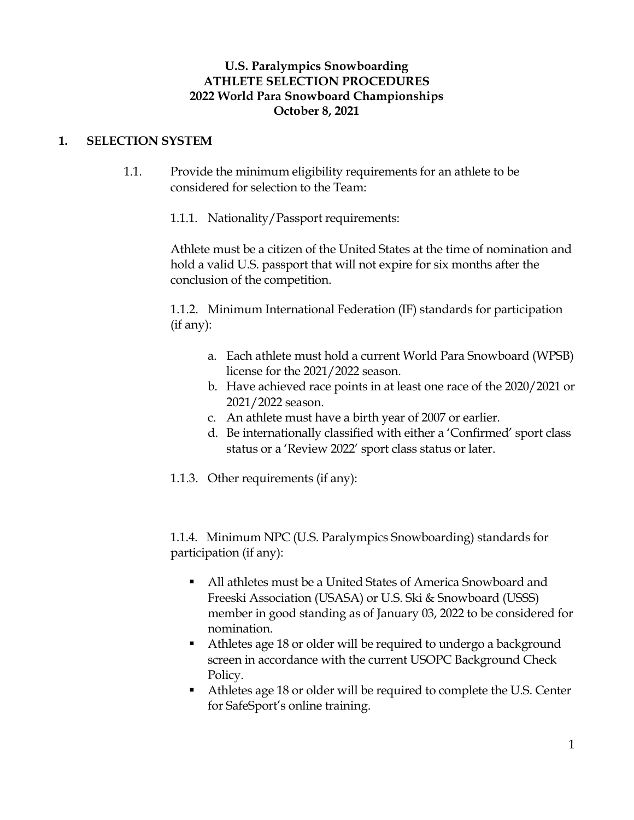# **U.S. Paralympics Snowboarding ATHLETE SELECTION PROCEDURES 2022 World Para Snowboard Championships October 8, 2021**

## **1. SELECTION SYSTEM**

1.1. Provide the minimum eligibility requirements for an athlete to be considered for selection to the Team:

1.1.1. Nationality/Passport requirements:

Athlete must be a citizen of the United States at the time of nomination and hold a valid U.S. passport that will not expire for six months after the conclusion of the competition.

1.1.2. Minimum International Federation (IF) standards for participation (if any):

- a. Each athlete must hold a current World Para Snowboard (WPSB) license for the 2021/2022 season.
- b. Have achieved race points in at least one race of the 2020/2021 or 2021/2022 season.
- c. An athlete must have a birth year of 2007 or earlier.
- d. Be internationally classified with either a 'Confirmed' sport class status or a 'Review 2022' sport class status or later.

1.1.3. Other requirements (if any):

1.1.4. Minimum NPC (U.S. Paralympics Snowboarding) standards for participation (if any):

- All athletes must be a United States of America Snowboard and Freeski Association (USASA) or U.S. Ski & Snowboard (USSS) member in good standing as of January 03, 2022 to be considered for nomination.
- Athletes age 18 or older will be required to undergo a background screen in accordance with the current USOPC Background Check Policy.
- Athletes age 18 or older will be required to complete the U.S. Center for SafeSport's online training.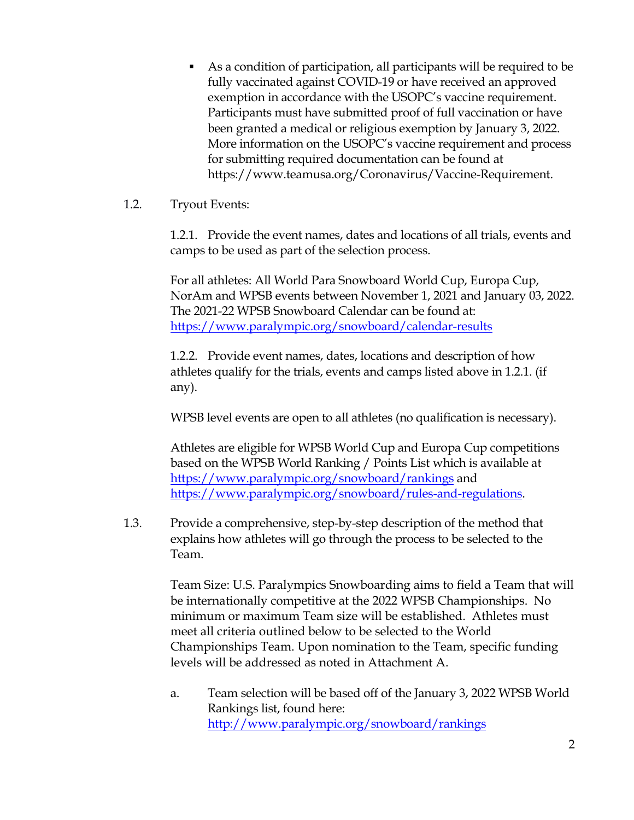- As a condition of participation, all participants will be required to be fully vaccinated against COVID-19 or have received an approved exemption in accordance with the USOPC's vaccine requirement. Participants must have submitted proof of full vaccination or have been granted a medical or religious exemption by January 3, 2022. More information on the USOPC's vaccine requirement and process for submitting required documentation can be found at [https://www.teamusa.org/Coronavirus/Vaccine-Requirement.](https://www.teamusa.org/Coronavirus/Vaccine-Requirement)
- 1.2. Tryout Events:

1.2.1. Provide the event names, dates and locations of all trials, events and camps to be used as part of the selection process.

For all athletes: All World Para Snowboard World Cup, Europa Cup, NorAm and WPSB events between November 1, 2021 and January 03, 2022. The 2021-22 WPSB Snowboard Calendar can be found at: <https://www.paralympic.org/snowboard/calendar-results>

1.2.2. Provide event names, dates, locations and description of how athletes qualify for the trials, events and camps listed above in 1.2.1. (if any).

WPSB level events are open to all athletes (no qualification is necessary).

Athletes are eligible for WPSB World Cup and Europa Cup competitions based on the WPSB World Ranking / Points List which is available at <https://www.paralympic.org/snowboard/rankings> and [https://www.paralympic.org/snowboard/rules-and-regulations.](https://www.paralympic.org/snowboard/rules-and-regulations)

1.3. Provide a comprehensive, step-by-step description of the method that explains how athletes will go through the process to be selected to the Team.

> Team Size: U.S. Paralympics Snowboarding aims to field a Team that will be internationally competitive at the 2022 WPSB Championships. No minimum or maximum Team size will be established. Athletes must meet all criteria outlined below to be selected to the World Championships Team. Upon nomination to the Team, specific funding levels will be addressed as noted in Attachment A.

> a. Team selection will be based off of the January 3, 2022 WPSB World Rankings list, found here: <http://www.paralympic.org/snowboard/rankings>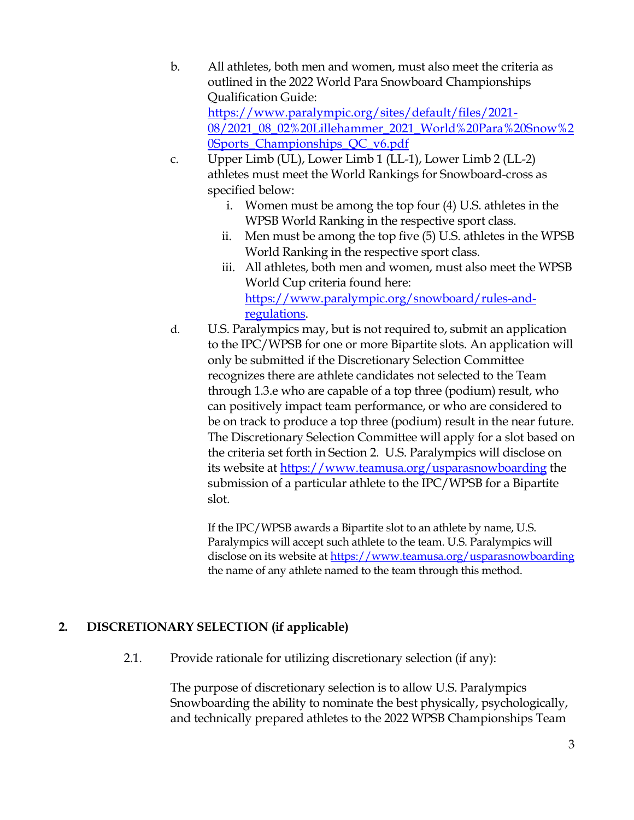- b. All athletes, both men and women, must also meet the criteria as outlined in the 2022 World Para Snowboard Championships Qualification Guide: https://www.paralympic.org/sites/default/files/2021- [08/2021\\_08\\_02%20Lillehammer\\_2021\\_World%20Para%20Snow%2](https://www.paralympic.org/sites/default/files/2021-08/2021_08_02%2520Lillehammer_2021_World%2520Para%2520Snow%2520Sports_Championships_QC_v6.pdf) 0Sports\_Championships\_QC\_v6.pdf
- c. Upper Limb (UL), Lower Limb 1 (LL-1), Lower Limb 2 (LL-2) athletes must meet the World Rankings for Snowboard-cross as specified below:
	- i. Women must be among the top four (4) U.S. athletes in the WPSB World Ranking in the respective sport class.
	- ii. Men must be among the top five (5) U.S. athletes in the WPSB World Ranking in the respective sport class.
	- iii. All athletes, both men and women, must also meet the WPSB World Cup criteria found here: [https://www.paralympic.org/snowboard/rules-and](https://www.paralympic.org/snowboard/rules-and-regulations)regulations.
- d. U.S. Paralympics may, but is not required to, submit an application to the IPC/WPSB for one or more Bipartite slots. An application will only be submitted if the Discretionary Selection Committee recognizes there are athlete candidates not selected to the Team through 1.3.e who are capable of a top three (podium) result, who can positively impact team performance, or who are considered to be on track to produce a top three (podium) result in the near future. The Discretionary Selection Committee will apply for a slot based on the criteria set forth in Section 2. U.S. Paralympics will disclose on its website at <https://www.teamusa.org/usparasnowboarding> the submission of a particular athlete to the IPC/WPSB for a Bipartite slot.

If the IPC/WPSB awards a Bipartite slot to an athlete by name, U.S. Paralympics will accept such athlete to the team. U.S. Paralympics will disclose on its website at<https://www.teamusa.org/usparasnowboarding> the name of any athlete named to the team through this method.

# **2. DISCRETIONARY SELECTION (if applicable)**

2.1. Provide rationale for utilizing discretionary selection (if any):

The purpose of discretionary selection is to allow U.S. Paralympics Snowboarding the ability to nominate the best physically, psychologically, and technically prepared athletes to the 2022 WPSB Championships Team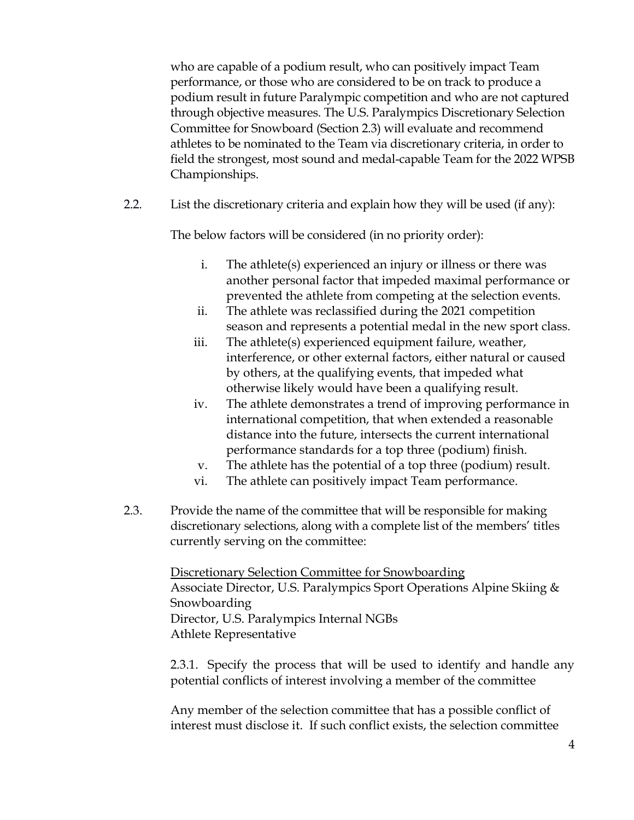who are capable of a podium result, who can positively impact Team performance, or those who are considered to be on track to produce a podium result in future Paralympic competition and who are not captured through objective measures. The U.S. Paralympics Discretionary Selection Committee for Snowboard (Section 2.3) will evaluate and recommend athletes to be nominated to the Team via discretionary criteria, in order to field the strongest, most sound and medal-capable Team for the 2022 WPSB Championships.

2.2. List the discretionary criteria and explain how they will be used (if any):

The below factors will be considered (in no priority order):

- i. The athlete(s) experienced an injury or illness or there was another personal factor that impeded maximal performance or prevented the athlete from competing at the selection events.
- ii. The athlete was reclassified during the 2021 competition season and represents a potential medal in the new sport class.
- iii. The athlete(s) experienced equipment failure, weather, interference, or other external factors, either natural or caused by others, at the qualifying events, that impeded what otherwise likely would have been a qualifying result.
- iv. The athlete demonstrates a trend of improving performance in international competition, that when extended a reasonable distance into the future, intersects the current international performance standards for a top three (podium) finish.
- v. The athlete has the potential of a top three (podium) result.
- vi. The athlete can positively impact Team performance.
- 2.3. Provide the name of the committee that will be responsible for making discretionary selections, along with a complete list of the members' titles currently serving on the committee:

Discretionary Selection Committee for Snowboarding Associate Director, U.S. Paralympics Sport Operations Alpine Skiing & Snowboarding Director, U.S. Paralympics Internal NGBs Athlete Representative

2.3.1. Specify the process that will be used to identify and handle any potential conflicts of interest involving a member of the committee

Any member of the selection committee that has a possible conflict of interest must disclose it. If such conflict exists, the selection committee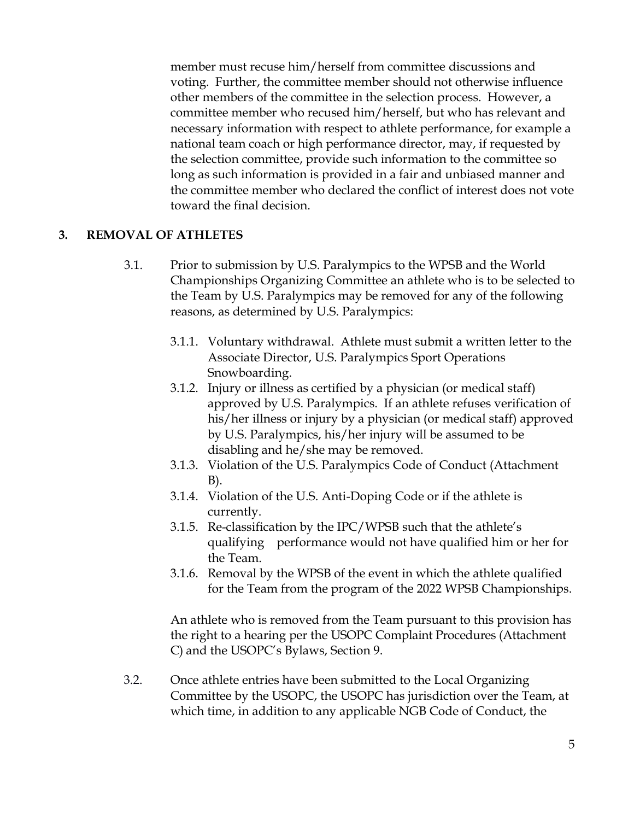member must recuse him/herself from committee discussions and voting. Further, the committee member should not otherwise influence other members of the committee in the selection process. However, a committee member who recused him/herself, but who has relevant and necessary information with respect to athlete performance, for example a national team coach or high performance director, may, if requested by the selection committee, provide such information to the committee so long as such information is provided in a fair and unbiased manner and the committee member who declared the conflict of interest does not vote toward the final decision.

## **3. REMOVAL OF ATHLETES**

- 3.1. Prior to submission by U.S. Paralympics to the WPSB and the World Championships Organizing Committee an athlete who is to be selected to the Team by U.S. Paralympics may be removed for any of the following reasons, as determined by U.S. Paralympics:
	- 3.1.1. Voluntary withdrawal. Athlete must submit a written letter to the Associate Director, U.S. Paralympics Sport Operations Snowboarding.
	- 3.1.2. Injury or illness as certified by a physician (or medical staff) approved by U.S. Paralympics. If an athlete refuses verification of his/her illness or injury by a physician (or medical staff) approved by U.S. Paralympics, his/her injury will be assumed to be disabling and he/she may be removed.
	- 3.1.3. Violation of the U.S. Paralympics Code of Conduct (Attachment B).
	- 3.1.4. Violation of the U.S. Anti-Doping Code or if the athlete is currently.
	- 3.1.5. Re-classification by the IPC/WPSB such that the athlete's qualifying performance would not have qualified him or her for the Team.
	- 3.1.6. Removal by the WPSB of the event in which the athlete qualified for the Team from the program of the 2022 WPSB Championships.

An athlete who is removed from the Team pursuant to this provision has the right to a hearing per the USOPC Complaint Procedures (Attachment C) and the USOPC's Bylaws, Section 9.

3.2. Once athlete entries have been submitted to the Local Organizing Committee by the USOPC, the USOPC has jurisdiction over the Team, at which time, in addition to any applicable NGB Code of Conduct, the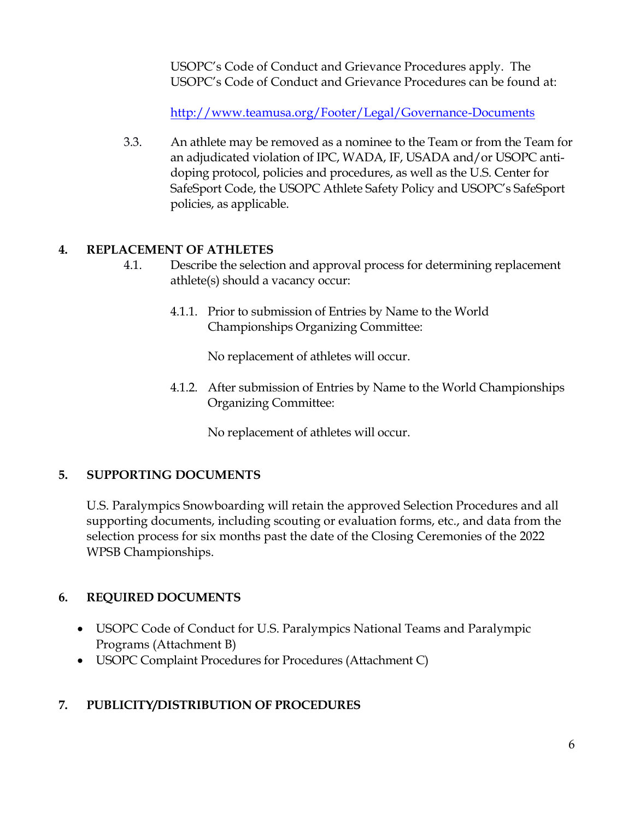USOPC's Code of Conduct and Grievance Procedures apply. The USOPC's Code of Conduct and Grievance Procedures can be found at:

<http://www.teamusa.org/Footer/Legal/Governance-Documents>

3.3. An athlete may be removed as a nominee to the Team or from the Team for an adjudicated violation of IPC, WADA, IF, USADA and/or USOPC antidoping protocol, policies and procedures, as well as the U.S. Center for SafeSport Code, the USOPC Athlete Safety Policy and USOPC's SafeSport policies, as applicable.

# **4. REPLACEMENT OF ATHLETES**

- 4.1. Describe the selection and approval process for determining replacement athlete(s) should a vacancy occur:
	- 4.1.1. Prior to submission of Entries by Name to the World Championships Organizing Committee:

No replacement of athletes will occur.

4.1.2. After submission of Entries by Name to the World Championships Organizing Committee:

No replacement of athletes will occur.

# **5. SUPPORTING DOCUMENTS**

U.S. Paralympics Snowboarding will retain the approved Selection Procedures and all supporting documents, including scouting or evaluation forms, etc., and data from the selection process for six months past the date of the Closing Ceremonies of the 2022 WPSB Championships.

# **6. REQUIRED DOCUMENTS**

- USOPC Code of Conduct for U.S. Paralympics National Teams and Paralympic Programs (Attachment B)
- USOPC Complaint Procedures for Procedures (Attachment C)

# **7. PUBLICITY/DISTRIBUTION OF PROCEDURES**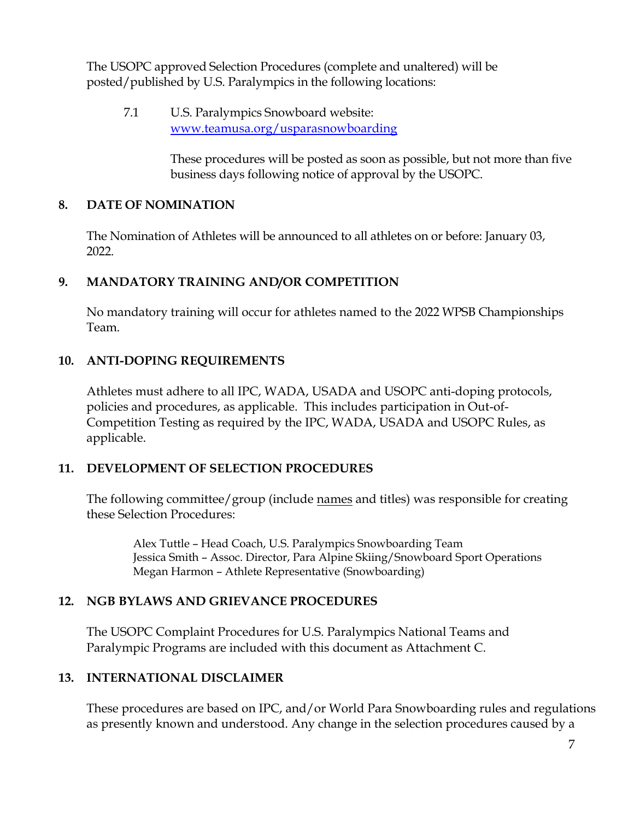The USOPC approved Selection Procedures (complete and unaltered) will be posted/published by U.S. Paralympics in the following locations:

7.1 U.S. Paralympics Snowboard website: [www.teamusa.org/usparasnowboarding](http://www.teamusa.org/usparasnowboarding)

> These procedures will be posted as soon as possible, but not more than five business days following notice of approval by the USOPC.

## **8. DATE OF NOMINATION**

The Nomination of Athletes will be announced to all athletes on or before: January 03, 2022.

# **9. MANDATORY TRAINING AND/OR COMPETITION**

No mandatory training will occur for athletes named to the 2022 WPSB Championships Team.

## **10. ANTI-DOPING REQUIREMENTS**

Athletes must adhere to all IPC, WADA, USADA and USOPC anti-doping protocols, policies and procedures, as applicable. This includes participation in Out-of-Competition Testing as required by the IPC, WADA, USADA and USOPC Rules, as applicable.

## **11. DEVELOPMENT OF SELECTION PROCEDURES**

The following committee/group (include names and titles) was responsible for creating these Selection Procedures:

Alex Tuttle – Head Coach, U.S. Paralympics Snowboarding Team Jessica Smith – Assoc. Director, Para Alpine Skiing/Snowboard Sport Operations Megan Harmon – Athlete Representative (Snowboarding)

# **12. NGB BYLAWS AND GRIEVANCE PROCEDURES**

The USOPC Complaint Procedures for U.S. Paralympics National Teams and Paralympic Programs are included with this document as Attachment C.

# **13. INTERNATIONAL DISCLAIMER**

These procedures are based on IPC, and/or World Para Snowboarding rules and regulations as presently known and understood. Any change in the selection procedures caused by a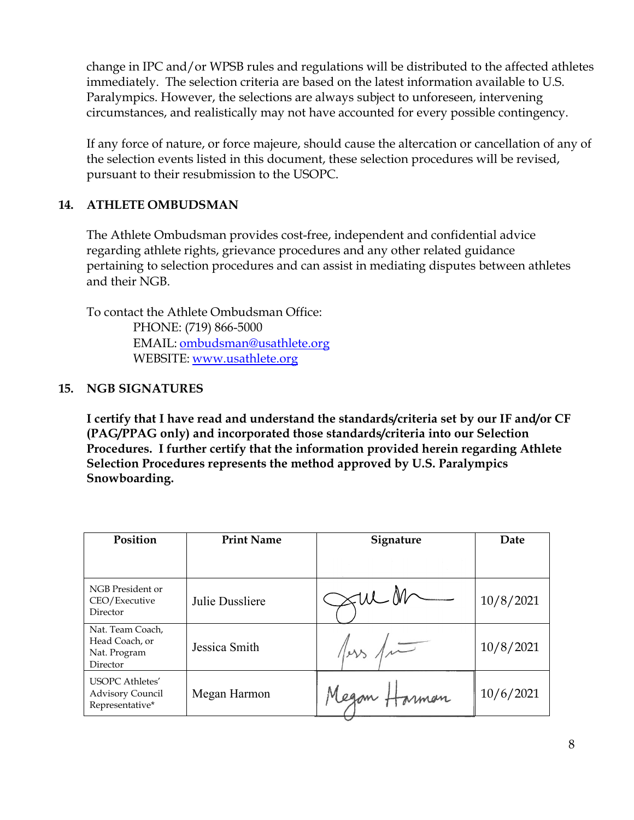<span id="page-7-0"></span>change in IPC and/or WPSB rules and regulations will be distributed to the affected athletes immediately. The selection criteria are based on the latest information available to U.S. Paralympics. However, the selections are always subject to unforeseen, intervening circumstances, and realistically may not have accounted for every possible contingency.

If any force of nature, or force majeure, should cause the altercation or cancellation of any of the selection events listed in this document, these selection procedures will be revised, pursuant to their resubmission to the USOPC.

# **14. ATHLETE OMBUDSMAN**

The Athlete Ombudsman provides cost-free, independent and confidential advice regarding athlete rights, grievance procedures and any other related guidance pertaining to selection procedures and can assist in mediating disputes between athletes and their NGB.

To contact the Athlete Ombudsman Office: PHONE: (719) 866-5000 EMAIL: [ombudsman@usathlete.org](mailto:ombudsman@usathlete.org) WEBSITE: [www.usathlete.org](http://www.usathlete.org)

# **15. NGB SIGNATURES**

**I certify that I have read and understand the standards/criteria set by our IF and/or CF (PAG/PPAG only) and incorporated those standards/criteria into our Selection Procedures. I further certify that the information provided herein regarding Athlete Selection Procedures represents the method approved by U.S. Paralympics Snowboarding.**

| Position                                                             | <b>Print Name</b> | <b>Signature</b> | Date      |
|----------------------------------------------------------------------|-------------------|------------------|-----------|
|                                                                      |                   |                  |           |
| NGB President or<br>CEO/Executive<br>Director                        | Julie Dussliere   |                  | 10/8/2021 |
| Nat. Team Coach,<br>Head Coach, or<br>Nat. Program<br>Director       | Jessica Smith     |                  | 10/8/2021 |
| <b>USOPC</b> Athletes'<br><b>Advisory Council</b><br>Representative* | Megan Harmon      | Megan 1<br>nman  | 10/6/2021 |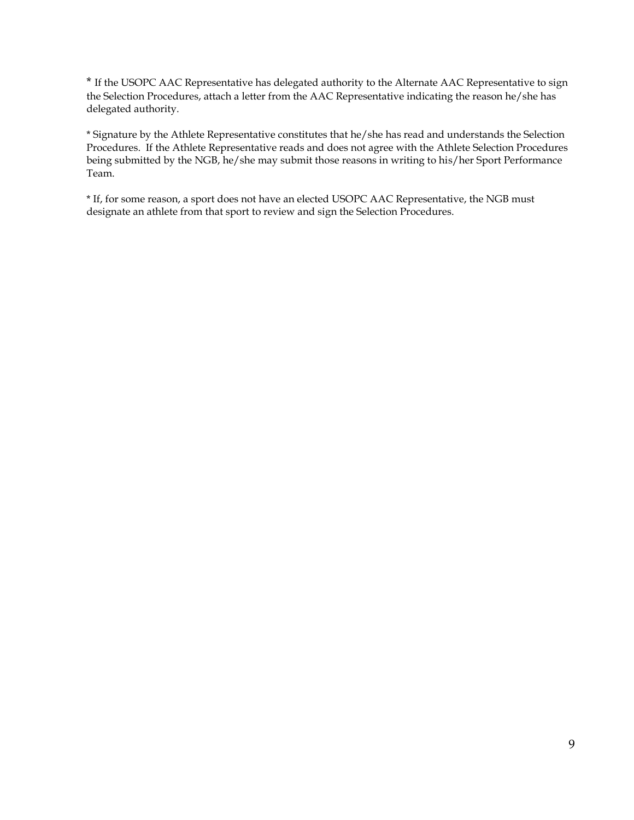<span id="page-8-0"></span>[\\*](#page-7-0) If the USOPC AAC Representative has delegated authority to the Alternate AAC Representative to sign the Selection Procedures, attach a letter from the AAC Representative indicating the reason he/she has delegated authority.

\* Signature by the Athlete Representative constitutes that he/she has read and understands the Selection Procedures. If the Athlete Representative reads and does not agree with the Athlete Selection Procedures being submitted by the NGB, he/she may submit those reasons in writing to his/her Sport Performance Team.

\* If, for some reason, a sport does not have an elected USOPC AAC Representative, the NGB must designate an athlete from that sport to review and sign the Selection Procedures.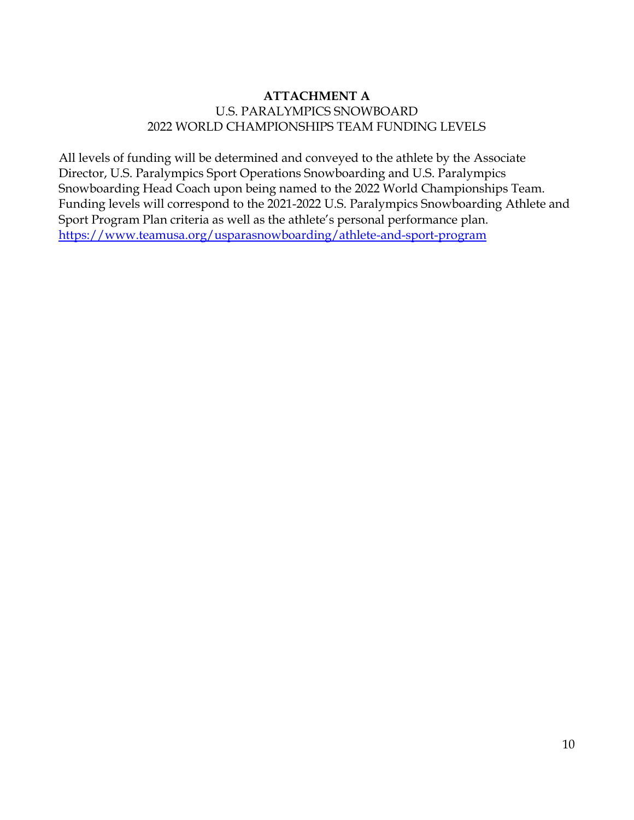# **ATTACHMENT A** U.S. PARALYMPICS SNOWBOARD 2022 WORLD CHAMPIONSHIPS TEAM FUNDING LEVELS

All levels of funding will be determined and conveyed to the athlete by the Associate Director, U.S. Paralympics Sport Operations Snowboarding and U.S. Paralympics Snowboarding Head Coach upon being named to the 2022 World Championships Team. Funding levels will correspond to the 2021-2022 U.S. Paralympics Snowboarding Athlete and Sport Program Plan criteria as well as the athlete's personal performance plan. <https://www.teamusa.org/usparasnowboarding/athlete-and-sport-program>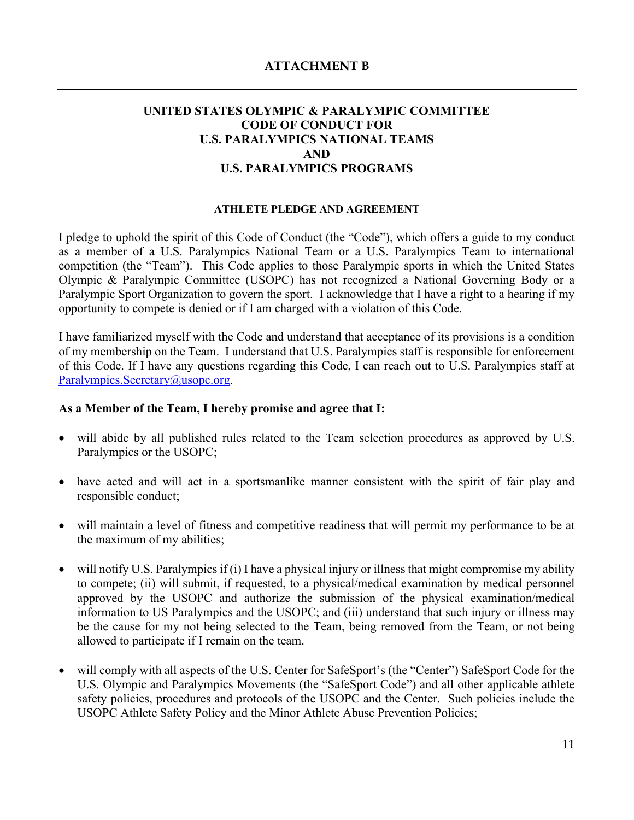#### **ATTACHMENT B**

## **UNITED STATES OLYMPIC & PARALYMPIC COMMITTEE CODE OF CONDUCT FOR U.S. PARALYMPICS NATIONAL TEAMS AND U.S. PARALYMPICS PROGRAMS**

#### **ATHLETE PLEDGE AND AGREEMENT**

I pledge to uphold the spirit of this Code of Conduct (the "Code"), which offers a guide to my conduct as a member of a U.S. Paralympics National Team or a U.S. Paralympics Team to international competition (the "Team"). This Code applies to those Paralympic sports in which the United States Olympic & Paralympic Committee (USOPC) has not recognized a National Governing Body or a Paralympic Sport Organization to govern the sport. I acknowledge that I have a right to a hearing if my opportunity to compete is denied or if I am charged with a violation of this Code.

I have familiarized myself with the Code and understand that acceptance of its provisions is a condition of my membership on the Team. I understand that U.S. Paralympics staff is responsible for enforcement of this Code. If I have any questions regarding this Code, I can reach out to U.S. Paralympics staff at [Paralympics.Secretary@usopc.org](mailto:Paralympics.Secretary@usopc.org).

#### **As a Member of the Team, I hereby promise and agree that I:**

- will abide by all published rules related to the Team selection procedures as approved by U.S. Paralympics or the USOPC;
- have acted and will act in a sportsmanlike manner consistent with the spirit of fair play and responsible conduct;
- will maintain a level of fitness and competitive readiness that will permit my performance to be at the maximum of my abilities;
- will notify U.S. Paralympics if (i) I have a physical injury or illness that might compromise my ability to compete; (ii) will submit, if requested, to a physical/medical examination by medical personnel approved by the USOPC and authorize the submission of the physical examination/medical information to US Paralympics and the USOPC; and (iii) understand that such injury or illness may be the cause for my not being selected to the Team, being removed from the Team, or not being allowed to participate if I remain on the team.
- will comply with all aspects of the U.S. Center for SafeSport's (the "Center") SafeSport Code for the U.S. Olympic and Paralympics Movements (the "SafeSport Code") and all other applicable athlete safety policies, procedures and protocols of the USOPC and the Center. Such policies include the USOPC Athlete Safety Policy and the Minor Athlete Abuse Prevention Policies;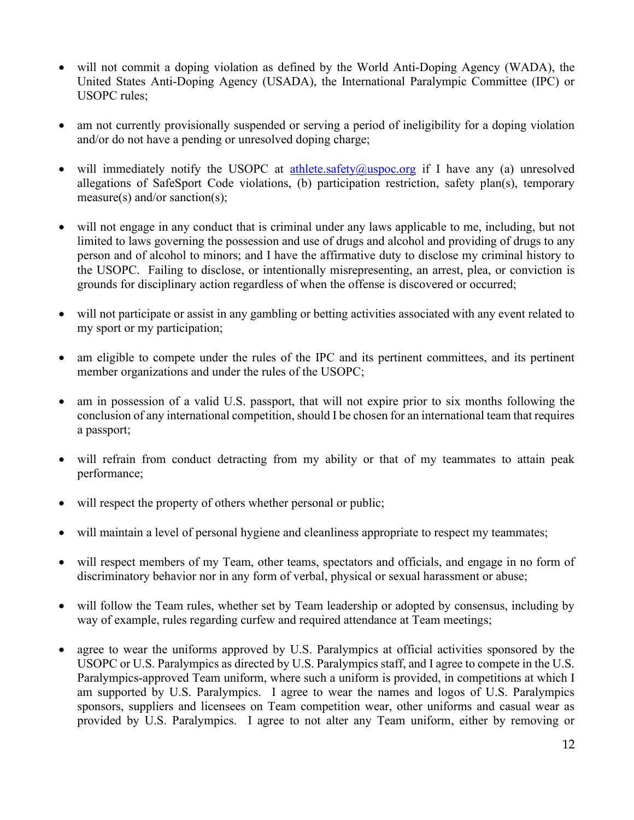- will not commit a doping violation as defined by the World Anti-Doping Agency (WADA), the United States Anti-Doping Agency (USADA), the International Paralympic Committee (IPC) or USOPC rules;
- am not currently provisionally suspended or serving a period of ineligibility for a doping violation and/or do not have a pending or unresolved doping charge;
- will immediately notify the USOPC at [athlete.safety@uspoc.org](mailto:athlete.safety@uspoc.org) if I have any (a) unresolved allegations of SafeSport Code violations, (b) participation restriction, safety plan(s), temporary measure(s) and/or sanction(s);
- will not engage in any conduct that is criminal under any laws applicable to me, including, but not limited to laws governing the possession and use of drugs and alcohol and providing of drugs to any person and of alcohol to minors; and I have the affirmative duty to disclose my criminal history to the USOPC. Failing to disclose, or intentionally misrepresenting, an arrest, plea, or conviction is grounds for disciplinary action regardless of when the offense is discovered or occurred;
- will not participate or assist in any gambling or betting activities associated with any event related to my sport or my participation;
- am eligible to compete under the rules of the IPC and its pertinent committees, and its pertinent member organizations and under the rules of the USOPC;
- am in possession of a valid U.S. passport, that will not expire prior to six months following the conclusion of any international competition, should I be chosen for an international team that requires a passport;
- will refrain from conduct detracting from my ability or that of my teammates to attain peak performance;
- will respect the property of others whether personal or public;
- will maintain a level of personal hygiene and cleanliness appropriate to respect my teammates;
- will respect members of my Team, other teams, spectators and officials, and engage in no form of discriminatory behavior nor in any form of verbal, physical or sexual harassment or abuse;
- will follow the Team rules, whether set by Team leadership or adopted by consensus, including by way of example, rules regarding curfew and required attendance at Team meetings;
- agree to wear the uniforms approved by U.S. Paralympics at official activities sponsored by the USOPC or U.S. Paralympics as directed by U.S. Paralympics staff, and I agree to compete in the U.S. Paralympics-approved Team uniform, where such a uniform is provided, in competitions at which I am supported by U.S. Paralympics. I agree to wear the names and logos of U.S. Paralympics sponsors, suppliers and licensees on Team competition wear, other uniforms and casual wear as provided by U.S. Paralympics. I agree to not alter any Team uniform, either by removing or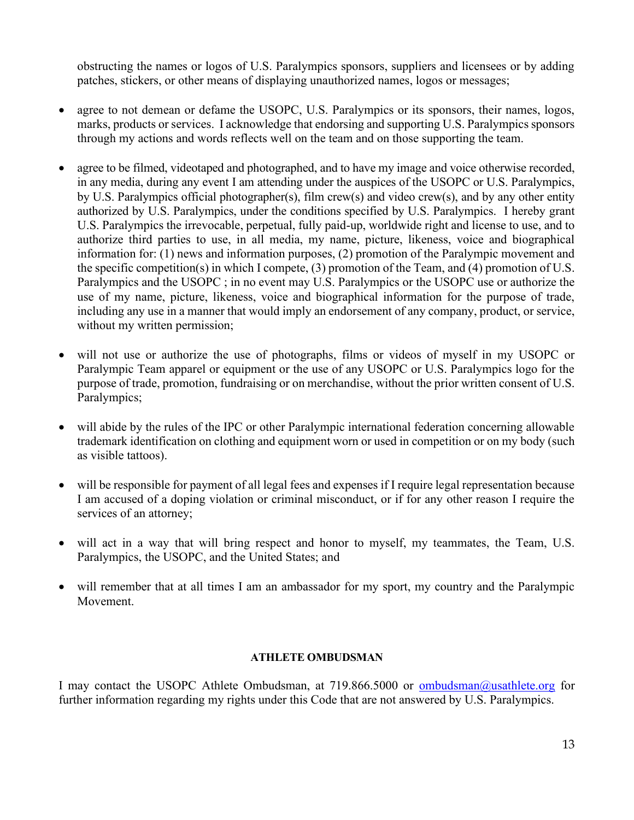obstructing the names or logos of U.S. Paralympics sponsors, suppliers and licensees or by adding patches, stickers, or other means of displaying unauthorized names, logos or messages;

- agree to not demean or defame the USOPC, U.S. Paralympics or its sponsors, their names, logos, marks, products or services. I acknowledge that endorsing and supporting U.S. Paralympics sponsors through my actions and words reflects well on the team and on those supporting the team.
- agree to be filmed, videotaped and photographed, and to have my image and voice otherwise recorded, in any media, during any event I am attending under the auspices of the USOPC or U.S. Paralympics, by U.S. Paralympics official photographer(s), film crew(s) and video crew(s), and by any other entity authorized by U.S. Paralympics, under the conditions specified by U.S. Paralympics. I hereby grant U.S. Paralympics the irrevocable, perpetual, fully paid-up, worldwide right and license to use, and to authorize third parties to use, in all media, my name, picture, likeness, voice and biographical information for: (1) news and information purposes, (2) promotion of the Paralympic movement and the specific competition(s) in which I compete, (3) promotion of the Team, and (4) promotion of U.S. Paralympics and the USOPC ; in no event may U.S. Paralympics or the USOPC use or authorize the use of my name, picture, likeness, voice and biographical information for the purpose of trade, including any use in a manner that would imply an endorsement of any company, product, or service, without my written permission;
- will not use or authorize the use of photographs, films or videos of myself in my USOPC or Paralympic Team apparel or equipment or the use of any USOPC or U.S. Paralympics logo for the purpose of trade, promotion, fundraising or on merchandise, without the prior written consent of U.S. Paralympics;
- will abide by the rules of the IPC or other Paralympic international federation concerning allowable trademark identification on clothing and equipment worn or used in competition or on my body (such as visible tattoos).
- will be responsible for payment of all legal fees and expenses if I require legal representation because I am accused of a doping violation or criminal misconduct, or if for any other reason I require the services of an attorney;
- will act in a way that will bring respect and honor to myself, my teammates, the Team, U.S. Paralympics, the USOPC, and the United States; and
- will remember that at all times I am an ambassador for my sport, my country and the Paralympic Movement.

#### **ATHLETE OMBUDSMAN**

I may contact the USOPC Athlete Ombudsman, at 719.866.5000 or [ombudsman@usathlete.org](mailto:ombudsman@usathlete.org) for further information regarding my rights under this Code that are not answered by U.S. Paralympics.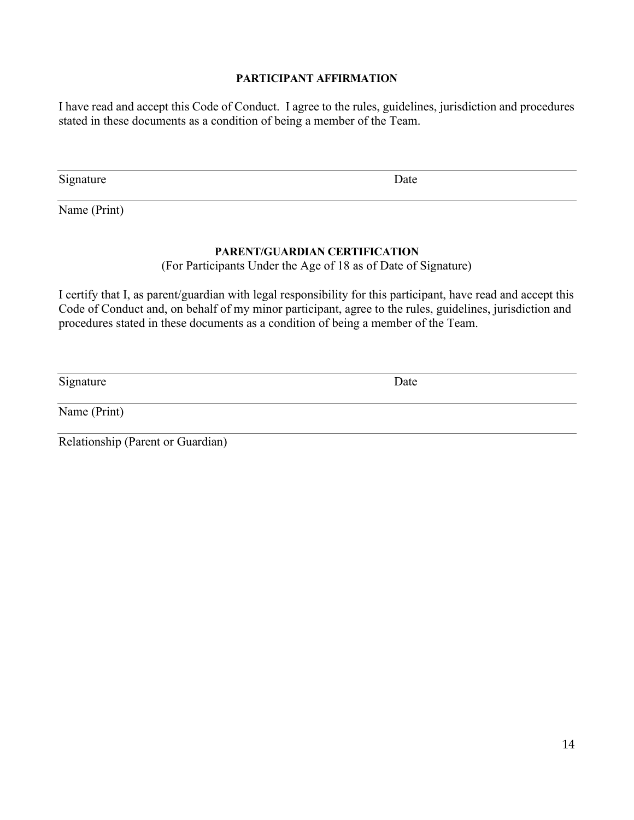#### **PARTICIPANT AFFIRMATION**

I have read and accept this Code of Conduct. I agree to the rules, guidelines, jurisdiction and procedures stated in these documents as a condition of being a member of the Team.

Signature Date

Name (Print)

#### **PARENT/GUARDIAN CERTIFICATION**

(For Participants Under the Age of 18 as of Date of Signature)

I certify that I, as parent/guardian with legal responsibility for this participant, have read and accept this Code of Conduct and, on behalf of my minor participant, agree to the rules, guidelines, jurisdiction and procedures stated in these documents as a condition of being a member of the Team.

Signature Date

Name (Print)

Relationship (Parent or Guardian)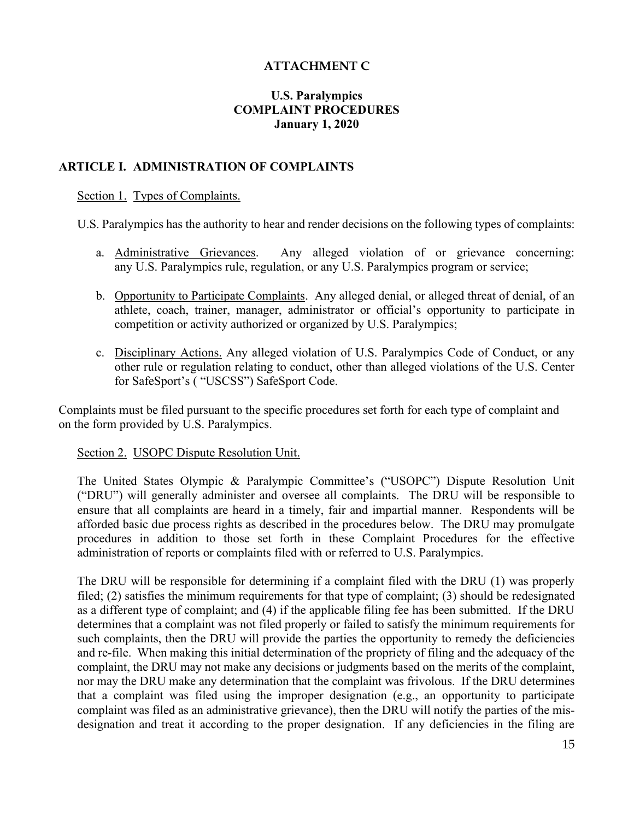## **ATTACHMENT C**

## **U.S. Paralympics COMPLAINT PROCEDURES January 1, 2020**

## **ARTICLE I. ADMINISTRATION OF COMPLAINTS**

#### Section 1. Types of Complaints.

U.S. Paralympics has the authority to hear and render decisions on the following types of complaints:

- a. Administrative Grievances. Any alleged violation of or grievance concerning: any U.S. Paralympics rule, regulation, or any U.S. Paralympics program or service;
- b. Opportunity to Participate Complaints. Any alleged denial, or alleged threat of denial, of an athlete, coach, trainer, manager, administrator or official's opportunity to participate in competition or activity authorized or organized by U.S. Paralympics;
- c. Disciplinary Actions. Any alleged violation of U.S. Paralympics Code of Conduct, or any other rule or regulation relating to conduct, other than alleged violations of the U.S. Center for SafeSport's ( "USCSS") SafeSport Code.

Complaints must be filed pursuant to the specific procedures set forth for each type of complaint and on the form provided by U.S. Paralympics.

#### Section 2. USOPC Dispute Resolution Unit.

The United States Olympic & Paralympic Committee's ("USOPC") Dispute Resolution Unit ("DRU") will generally administer and oversee all complaints. The DRU will be responsible to ensure that all complaints are heard in a timely, fair and impartial manner. Respondents will be afforded basic due process rights as described in the procedures below. The DRU may promulgate procedures in addition to those set forth in these Complaint Procedures for the effective administration of reports or complaints filed with or referred to U.S. Paralympics.

The DRU will be responsible for determining if a complaint filed with the DRU (1) was properly filed; (2) satisfies the minimum requirements for that type of complaint; (3) should be redesignated as a different type of complaint; and (4) if the applicable filing fee has been submitted. If the DRU determines that a complaint was not filed properly or failed to satisfy the minimum requirements for such complaints, then the DRU will provide the parties the opportunity to remedy the deficiencies and re-file. When making this initial determination of the propriety of filing and the adequacy of the complaint, the DRU may not make any decisions or judgments based on the merits of the complaint, nor may the DRU make any determination that the complaint was frivolous. If the DRU determines that a complaint was filed using the improper designation (e.g., an opportunity to participate complaint was filed as an administrative grievance), then the DRU will notify the parties of the misdesignation and treat it according to the proper designation. If any deficiencies in the filing are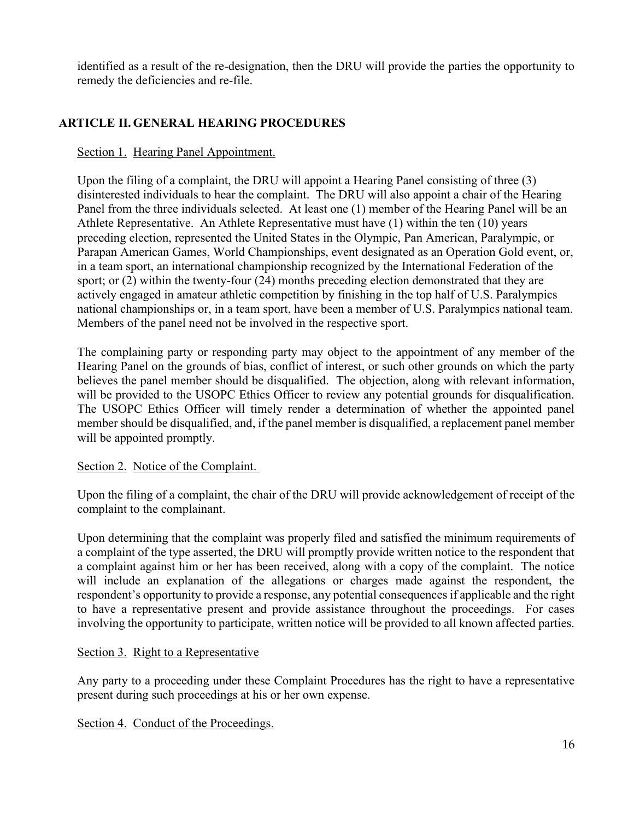identified as a result of the re-designation, then the DRU will provide the parties the opportunity to remedy the deficiencies and re-file.

# **ARTICLE II. GENERAL HEARING PROCEDURES**

## Section 1. Hearing Panel Appointment.

Upon the filing of a complaint, the DRU will appoint a Hearing Panel consisting of three (3) disinterested individuals to hear the complaint. The DRU will also appoint a chair of the Hearing Panel from the three individuals selected. At least one (1) member of the Hearing Panel will be an Athlete Representative. An Athlete Representative must have (1) within the ten (10) years preceding election, represented the United States in the Olympic, Pan American, Paralympic, or Parapan American Games, World Championships, event designated as an Operation Gold event, or, in a team sport, an international championship recognized by the International Federation of the sport; or (2) within the twenty-four (24) months preceding election demonstrated that they are actively engaged in amateur athletic competition by finishing in the top half of U.S. Paralympics national championships or, in a team sport, have been a member of U.S. Paralympics national team. Members of the panel need not be involved in the respective sport.

The complaining party or responding party may object to the appointment of any member of the Hearing Panel on the grounds of bias, conflict of interest, or such other grounds on which the party believes the panel member should be disqualified. The objection, along with relevant information, will be provided to the USOPC Ethics Officer to review any potential grounds for disqualification. The USOPC Ethics Officer will timely render a determination of whether the appointed panel member should be disqualified, and, if the panel member is disqualified, a replacement panel member will be appointed promptly.

## Section 2. Notice of the Complaint.

Upon the filing of a complaint, the chair of the DRU will provide acknowledgement of receipt of the complaint to the complainant.

Upon determining that the complaint was properly filed and satisfied the minimum requirements of a complaint of the type asserted, the DRU will promptly provide written notice to the respondent that a complaint against him or her has been received, along with a copy of the complaint. The notice will include an explanation of the allegations or charges made against the respondent, the respondent's opportunity to provide a response, any potential consequences if applicable and the right to have a representative present and provide assistance throughout the proceedings. For cases involving the opportunity to participate, written notice will be provided to all known affected parties.

## Section 3. Right to a Representative

Any party to a proceeding under these Complaint Procedures has the right to have a representative present during such proceedings at his or her own expense.

Section 4. Conduct of the Proceedings.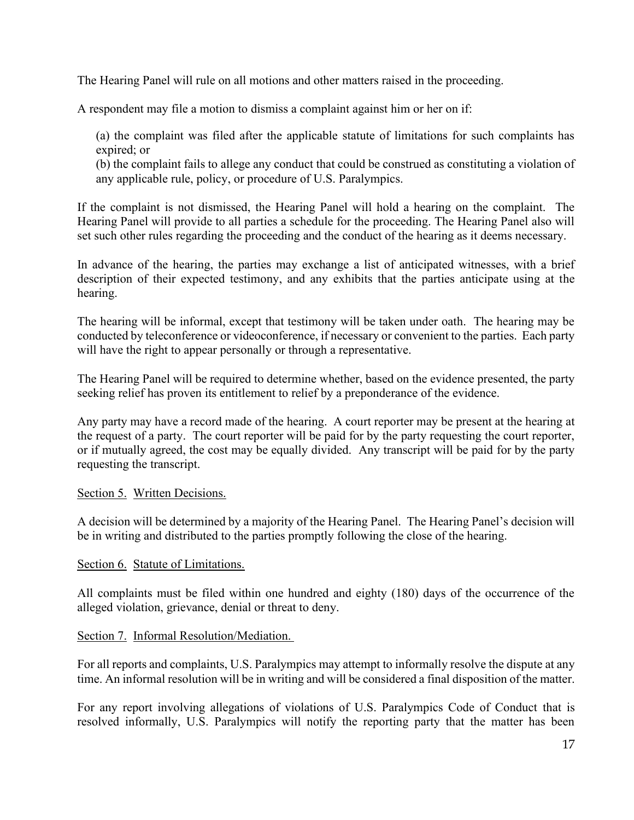The Hearing Panel will rule on all motions and other matters raised in the proceeding.

A respondent may file a motion to dismiss a complaint against him or her on if:

(a) the complaint was filed after the applicable statute of limitations for such complaints has expired; or

(b) the complaint fails to allege any conduct that could be construed as constituting a violation of any applicable rule, policy, or procedure of U.S. Paralympics.

If the complaint is not dismissed, the Hearing Panel will hold a hearing on the complaint. The Hearing Panel will provide to all parties a schedule for the proceeding. The Hearing Panel also will set such other rules regarding the proceeding and the conduct of the hearing as it deems necessary.

In advance of the hearing, the parties may exchange a list of anticipated witnesses, with a brief description of their expected testimony, and any exhibits that the parties anticipate using at the hearing.

The hearing will be informal, except that testimony will be taken under oath. The hearing may be conducted by teleconference or videoconference, if necessary or convenient to the parties. Each party will have the right to appear personally or through a representative.

The Hearing Panel will be required to determine whether, based on the evidence presented, the party seeking relief has proven its entitlement to relief by a preponderance of the evidence.

Any party may have a record made of the hearing. A court reporter may be present at the hearing at the request of a party. The court reporter will be paid for by the party requesting the court reporter, or if mutually agreed, the cost may be equally divided. Any transcript will be paid for by the party requesting the transcript.

## Section 5. Written Decisions.

A decision will be determined by a majority of the Hearing Panel. The Hearing Panel's decision will be in writing and distributed to the parties promptly following the close of the hearing.

#### Section 6. Statute of Limitations.

All complaints must be filed within one hundred and eighty (180) days of the occurrence of the alleged violation, grievance, denial or threat to deny.

## Section 7. Informal Resolution/Mediation.

For all reports and complaints, U.S. Paralympics may attempt to informally resolve the dispute at any time. An informal resolution will be in writing and will be considered a final disposition of the matter.

For any report involving allegations of violations of U.S. Paralympics Code of Conduct that is resolved informally, U.S. Paralympics will notify the reporting party that the matter has been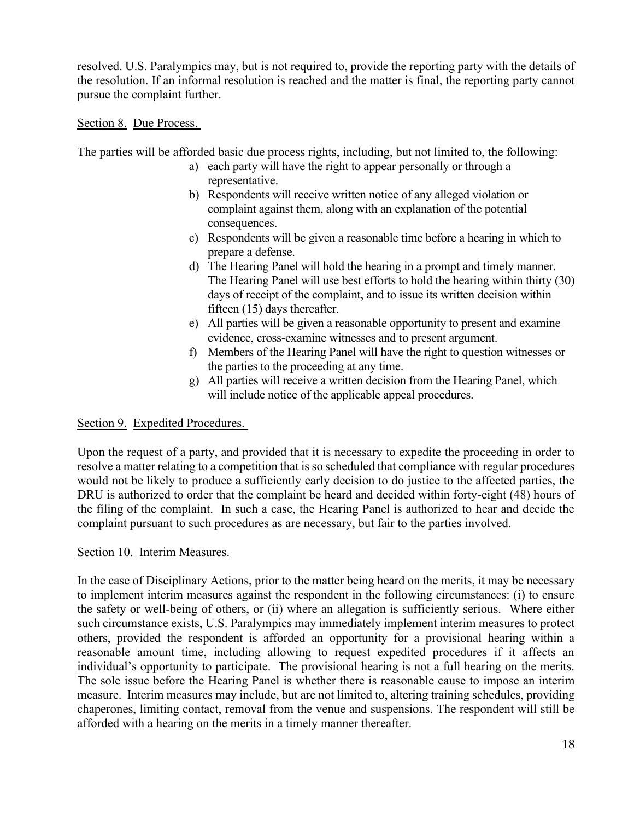resolved. U.S. Paralympics may, but is not required to, provide the reporting party with the details of the resolution. If an informal resolution is reached and the matter is final, the reporting party cannot pursue the complaint further.

#### Section 8. Due Process.

The parties will be afforded basic due process rights, including, but not limited to, the following:

- a) each party will have the right to appear personally or through a representative.
- b) Respondents will receive written notice of any alleged violation or complaint against them, along with an explanation of the potential consequences.
- c) Respondents will be given a reasonable time before a hearing in which to prepare a defense.
- d) The Hearing Panel will hold the hearing in a prompt and timely manner. The Hearing Panel will use best efforts to hold the hearing within thirty (30) days of receipt of the complaint, and to issue its written decision within fifteen (15) days thereafter.
- e) All parties will be given a reasonable opportunity to present and examine evidence, cross-examine witnesses and to present argument.
- f) Members of the Hearing Panel will have the right to question witnesses or the parties to the proceeding at any time.
- g) All parties will receive a written decision from the Hearing Panel, which will include notice of the applicable appeal procedures.

## Section 9. Expedited Procedures.

Upon the request of a party, and provided that it is necessary to expedite the proceeding in order to resolve a matter relating to a competition that is so scheduled that compliance with regular procedures would not be likely to produce a sufficiently early decision to do justice to the affected parties, the DRU is authorized to order that the complaint be heard and decided within forty-eight (48) hours of the filing of the complaint. In such a case, the Hearing Panel is authorized to hear and decide the complaint pursuant to such procedures as are necessary, but fair to the parties involved.

## Section 10. Interim Measures.

In the case of Disciplinary Actions, prior to the matter being heard on the merits, it may be necessary to implement interim measures against the respondent in the following circumstances: (i) to ensure the safety or well-being of others, or (ii) where an allegation is sufficiently serious. Where either such circumstance exists, U.S. Paralympics may immediately implement interim measures to protect others, provided the respondent is afforded an opportunity for a provisional hearing within a reasonable amount time, including allowing to request expedited procedures if it affects an individual's opportunity to participate. The provisional hearing is not a full hearing on the merits. The sole issue before the Hearing Panel is whether there is reasonable cause to impose an interim measure. Interim measures may include, but are not limited to, altering training schedules, providing chaperones, limiting contact, removal from the venue and suspensions. The respondent will still be afforded with a hearing on the merits in a timely manner thereafter.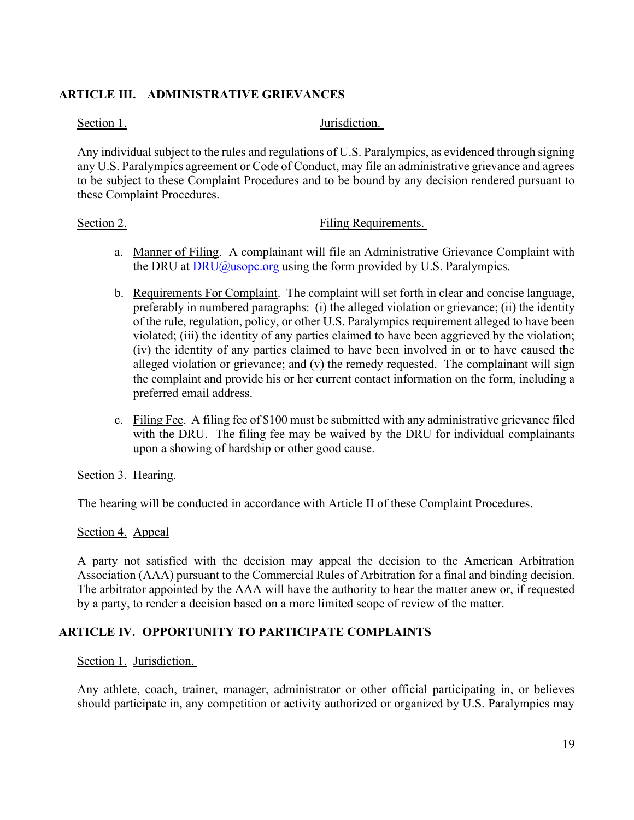## **ARTICLE III. ADMINISTRATIVE GRIEVANCES**

Section 1. Jurisdiction.

Any individual subject to the rules and regulations of U.S. Paralympics, as evidenced through signing any U.S. Paralympics agreement or Code of Conduct, may file an administrative grievance and agrees to be subject to these Complaint Procedures and to be bound by any decision rendered pursuant to these Complaint Procedures.

#### Section 2. Filing Requirements.

- a. Manner of Filing. A complainant will file an Administrative Grievance Complaint with the DRU at  $DRU(a)$ usopc.org using the form provided by U.S. Paralympics.
- b. Requirements For Complaint. The complaint will set forth in clear and concise language, preferably in numbered paragraphs: (i) the alleged violation or grievance; (ii) the identity of the rule, regulation, policy, or other U.S. Paralympics requirement alleged to have been violated; (iii) the identity of any parties claimed to have been aggrieved by the violation; (iv) the identity of any parties claimed to have been involved in or to have caused the alleged violation or grievance; and (v) the remedy requested. The complainant will sign the complaint and provide his or her current contact information on the form, including a preferred email address.
- c. Filing Fee. A filing fee of \$100 must be submitted with any administrative grievance filed with the DRU. The filing fee may be waived by the DRU for individual complainants upon a showing of hardship or other good cause.

## Section 3. Hearing.

The hearing will be conducted in accordance with Article II of these Complaint Procedures.

## Section 4. Appeal

A party not satisfied with the decision may appeal the decision to the American Arbitration Association (AAA) pursuant to the Commercial Rules of Arbitration for a final and binding decision. The arbitrator appointed by the AAA will have the authority to hear the matter anew or, if requested by a party, to render a decision based on a more limited scope of review of the matter.

## **ARTICLE IV. OPPORTUNITY TO PARTICIPATE COMPLAINTS**

#### Section 1. Jurisdiction.

Any athlete, coach, trainer, manager, administrator or other official participating in, or believes should participate in, any competition or activity authorized or organized by U.S. Paralympics may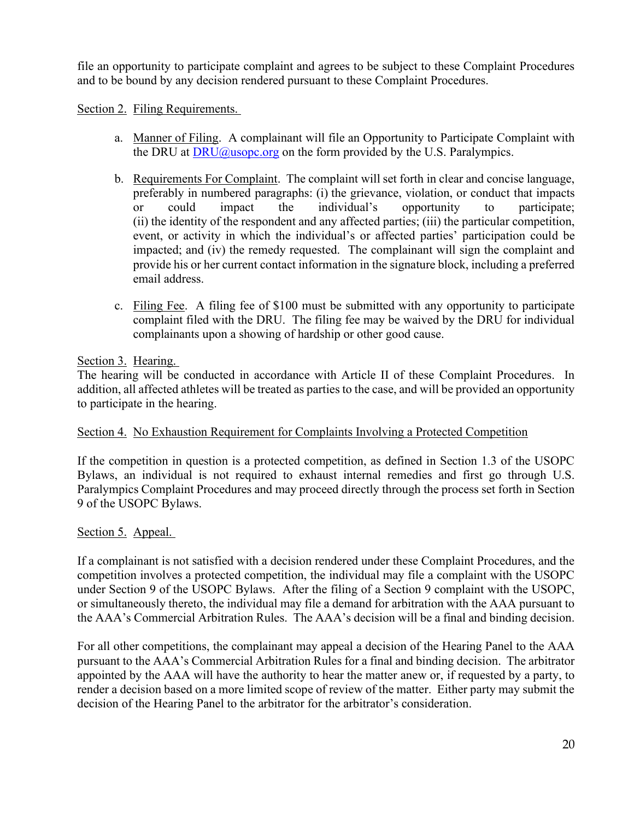file an opportunity to participate complaint and agrees to be subject to these Complaint Procedures and to be bound by any decision rendered pursuant to these Complaint Procedures.

## Section 2. Filing Requirements.

- a. Manner of Filing. A complainant will file an Opportunity to Participate Complaint with the DRU at  $DRU(\alpha)$ usopc.org on the form provided by the U.S. Paralympics.
- b. Requirements For Complaint. The complaint will set forth in clear and concise language, preferably in numbered paragraphs: (i) the grievance, violation, or conduct that impacts or could impact the individual's opportunity to participate; (ii) the identity of the respondent and any affected parties; (iii) the particular competition, event, or activity in which the individual's or affected parties' participation could be impacted; and (iv) the remedy requested. The complainant will sign the complaint and provide his or her current contact information in the signature block, including a preferred email address.
- c. Filing Fee. A filing fee of \$100 must be submitted with any opportunity to participate complaint filed with the DRU. The filing fee may be waived by the DRU for individual complainants upon a showing of hardship or other good cause.

## Section 3. Hearing.

The hearing will be conducted in accordance with Article II of these Complaint Procedures. In addition, all affected athletes will be treated as parties to the case, and will be provided an opportunity to participate in the hearing.

## Section 4. No Exhaustion Requirement for Complaints Involving a Protected Competition

If the competition in question is a protected competition, as defined in Section 1.3 of the USOPC Bylaws, an individual is not required to exhaust internal remedies and first go through U.S. Paralympics Complaint Procedures and may proceed directly through the process set forth in Section 9 of the USOPC Bylaws.

## Section 5. Appeal.

If a complainant is not satisfied with a decision rendered under these Complaint Procedures, and the competition involves a protected competition, the individual may file a complaint with the USOPC under Section 9 of the USOPC Bylaws. After the filing of a Section 9 complaint with the USOPC, or simultaneously thereto, the individual may file a demand for arbitration with the AAA pursuant to the AAA's Commercial Arbitration Rules. The AAA's decision will be a final and binding decision.

For all other competitions, the complainant may appeal a decision of the Hearing Panel to the AAA pursuant to the AAA's Commercial Arbitration Rules for a final and binding decision. The arbitrator appointed by the AAA will have the authority to hear the matter anew or, if requested by a party, to render a decision based on a more limited scope of review of the matter. Either party may submit the decision of the Hearing Panel to the arbitrator for the arbitrator's consideration.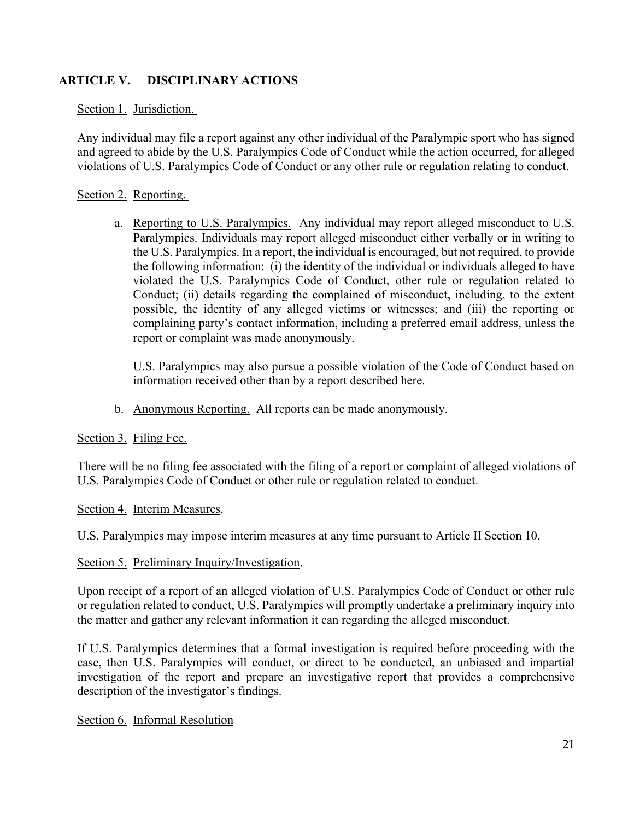## **ARTICLE V. DISCIPLINARY ACTIONS**

#### Section 1. Jurisdiction.

Any individual may file a report against any other individual of the Paralympic sport who has signed and agreed to abide by the U.S. Paralympics Code of Conduct while the action occurred, for alleged violations of U.S. Paralympics Code of Conduct or any other rule or regulation relating to conduct.

#### Section 2. Reporting.

a. Reporting to U.S. Paralympics. Any individual may report alleged misconduct to U.S. Paralympics. Individuals may report alleged misconduct either verbally or in writing to the U.S. Paralympics. In a report, the individual is encouraged, but not required, to provide the following information: (i) the identity of the individual or individuals alleged to have violated the U.S. Paralympics Code of Conduct, other rule or regulation related to Conduct; (ii) details regarding the complained of misconduct, including, to the extent possible, the identity of any alleged victims or witnesses; and (iii) the reporting or complaining party's contact information, including a preferred email address, unless the report or complaint was made anonymously.

U.S. Paralympics may also pursue a possible violation of the Code of Conduct based on information received other than by a report described here.

b. Anonymous Reporting. All reports can be made anonymously.

## Section 3. Filing Fee.

There will be no filing fee associated with the filing of a report or complaint of alleged violations of U.S. Paralympics Code of Conduct or other rule or regulation related to conduct.

#### Section 4. Interim Measures.

U.S. Paralympics may impose interim measures at any time pursuant to Article II Section 10.

Section 5. Preliminary Inquiry/Investigation.

Upon receipt of a report of an alleged violation of U.S. Paralympics Code of Conduct or other rule or regulation related to conduct, U.S. Paralympics will promptly undertake a preliminary inquiry into the matter and gather any relevant information it can regarding the alleged misconduct.

If U.S. Paralympics determines that a formal investigation is required before proceeding with the case, then U.S. Paralympics will conduct, or direct to be conducted, an unbiased and impartial investigation of the report and prepare an investigative report that provides a comprehensive description of the investigator's findings.

#### Section 6. Informal Resolution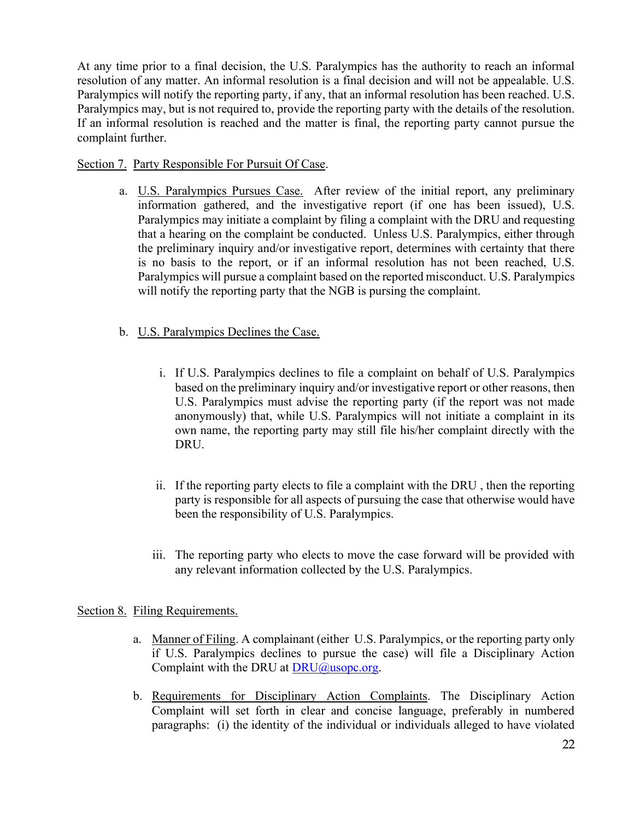At any time prior to a final decision, the U.S. Paralympics has the authority to reach an informal resolution of any matter. An informal resolution is a final decision and will not be appealable. U.S. Paralympics will notify the reporting party, if any, that an informal resolution has been reached. U.S. Paralympics may, but is not required to, provide the reporting party with the details of the resolution. If an informal resolution is reached and the matter is final, the reporting party cannot pursue the complaint further.

#### Section 7. Party Responsible For Pursuit Of Case.

a. U.S. Paralympics Pursues Case. After review of the initial report, any preliminary information gathered, and the investigative report (if one has been issued), U.S. Paralympics may initiate a complaint by filing a complaint with the DRU and requesting that a hearing on the complaint be conducted. Unless U.S. Paralympics, either through the preliminary inquiry and/or investigative report, determines with certainty that there is no basis to the report, or if an informal resolution has not been reached, U.S. Paralympics will pursue a complaint based on the reported misconduct. U.S. Paralympics will notify the reporting party that the NGB is pursing the complaint.

## b. U.S. Paralympics Declines the Case.

- i. If U.S. Paralympics declines to file a complaint on behalf of U.S. Paralympics based on the preliminary inquiry and/or investigative report or other reasons, then U.S. Paralympics must advise the reporting party (if the report was not made anonymously) that, while U.S. Paralympics will not initiate a complaint in its own name, the reporting party may still file his/her complaint directly with the DRU.
- ii. If the reporting party elects to file a complaint with the DRU , then the reporting party is responsible for all aspects of pursuing the case that otherwise would have been the responsibility of U.S. Paralympics.
- iii. The reporting party who elects to move the case forward will be provided with any relevant information collected by the U.S. Paralympics.

#### Section 8. Filing Requirements.

- a. Manner of Filing. A complainant (either U.S. Paralympics, or the reporting party only if U.S. Paralympics declines to pursue the case) will file a Disciplinary Action Complaint with the DRU at  $DRU@$ usopc.org.
- b. Requirements for Disciplinary Action Complaints. The Disciplinary Action Complaint will set forth in clear and concise language, preferably in numbered paragraphs: (i) the identity of the individual or individuals alleged to have violated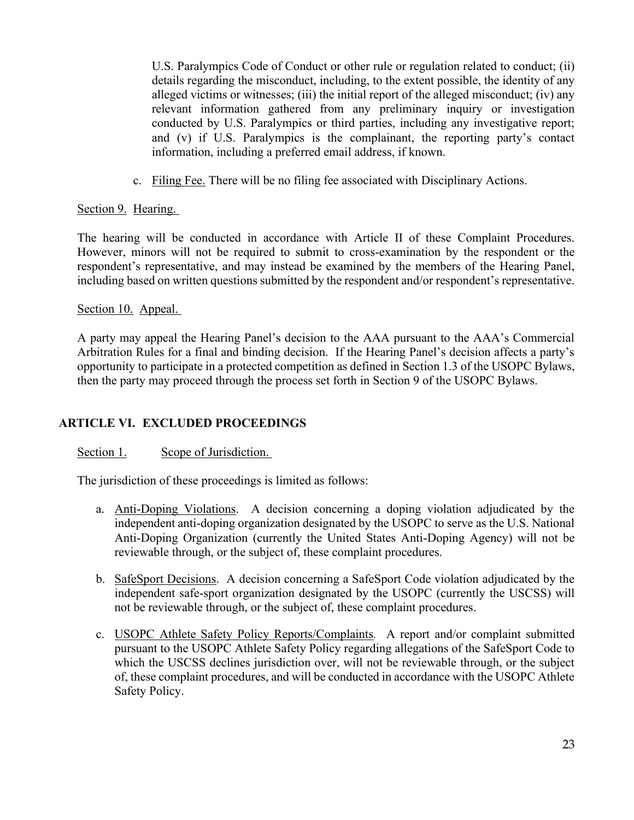U.S. Paralympics Code of Conduct or other rule or regulation related to conduct; (ii) details regarding the misconduct, including, to the extent possible, the identity of any alleged victims or witnesses; (iii) the initial report of the alleged misconduct; (iv) any relevant information gathered from any preliminary inquiry or investigation conducted by U.S. Paralympics or third parties, including any investigative report; and (v) if U.S. Paralympics is the complainant, the reporting party's contact information, including a preferred email address, if known.

c. Filing Fee. There will be no filing fee associated with Disciplinary Actions.

## Section 9. Hearing.

The hearing will be conducted in accordance with Article II of these Complaint Procedures. However, minors will not be required to submit to cross-examination by the respondent or the respondent's representative, and may instead be examined by the members of the Hearing Panel, including based on written questions submitted by the respondent and/or respondent's representative.

#### Section 10. Appeal.

A party may appeal the Hearing Panel's decision to the AAA pursuant to the AAA's Commercial Arbitration Rules for a final and binding decision. If the Hearing Panel's decision affects a party's opportunity to participate in a protected competition as defined in Section 1.3 of the USOPC Bylaws, then the party may proceed through the process set forth in Section 9 of the USOPC Bylaws.

## **ARTICLE VI. EXCLUDED PROCEEDINGS**

## Section 1. Scope of Jurisdiction.

The jurisdiction of these proceedings is limited as follows:

- a. Anti-Doping Violations. A decision concerning a doping violation adjudicated by the independent anti-doping organization designated by the USOPC to serve as the U.S. National Anti-Doping Organization (currently the United States Anti-Doping Agency) will not be reviewable through, or the subject of, these complaint procedures.
- b. SafeSport Decisions. A decision concerning a SafeSport Code violation adjudicated by the independent safe-sport organization designated by the USOPC (currently the USCSS) will not be reviewable through, or the subject of, these complaint procedures.
- c. USOPC Athlete Safety Policy Reports/Complaints*.* A report and/or complaint submitted pursuant to the USOPC Athlete Safety Policy regarding allegations of the SafeSport Code to which the USCSS declines jurisdiction over, will not be reviewable through, or the subject of, these complaint procedures, and will be conducted in accordance with the USOPC Athlete Safety Policy.